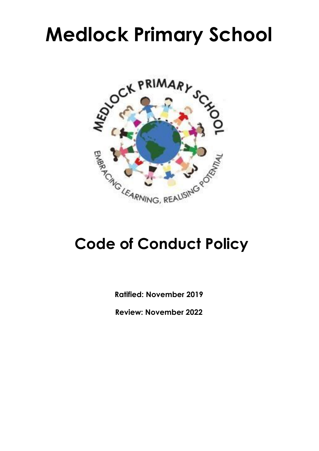# **Medlock Primary School**



# **Code of Conduct Policy**

**Ratified: November 2019**

**Review: November 2022**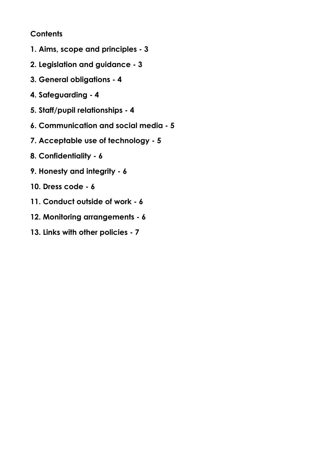# **Contents**

- **1. Aims, scope and principles - 3**
- **2. Legislation and guidance - 3**
- **3. General obligations - 4**
- **4. Safeguarding - 4**
- **5. Staff/pupil relationships - 4**
- **6. Communication and social media - 5**
- **7. Acceptable use of technology - 5**
- **8. Confidentiality - 6**
- **9. Honesty and integrity - 6**
- **10. Dress code - 6**
- **11. Conduct outside of work - 6**
- **12. Monitoring arrangements - 6**
- **13. Links with other policies - 7**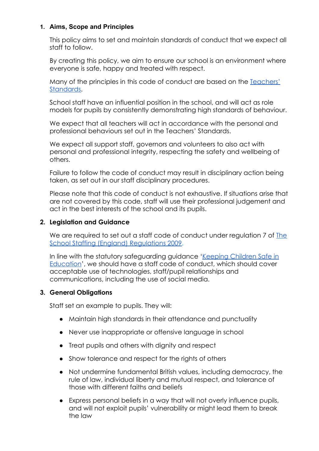# **1. Aims, Scope and Principles**

This policy aims to set and maintain standards of conduct that we expect all staff to follow.

By creating this policy, we aim to ensure our school is an environment where everyone is safe, happy and treated with respect.

Many of the principles in this code of conduct are based on the [Teachers'](https://www.gov.uk/government/uploads/system/uploads/attachment_data/file/301107/Teachers__Standards.pdf) [Standards.](https://www.gov.uk/government/uploads/system/uploads/attachment_data/file/301107/Teachers__Standards.pdf)

School staff have an influential position in the school, and will act as role models for pupils by consistently demonstrating high standards of behaviour.

We expect that all teachers will act in accordance with the personal and professional behaviours set out in the Teachers' Standards.

We expect all support staff, governors and volunteers to also act with personal and professional integrity, respecting the safety and wellbeing of others.

Failure to follow the code of conduct may result in disciplinary action being taken, as set out in our staff disciplinary procedures.

Please note that this code of conduct is not exhaustive. If situations arise that are not covered by this code, staff will use their professional judgement and act in the best interests of the school and its pupils.

### **2. Legislation and Guidance**

We are required to set out a staff code of conduct under requigition 7 of [The](http://www.legislation.gov.uk/uksi/2009/2680/contents/made) [School Staffing \(England\) Regulations 2009.](http://www.legislation.gov.uk/uksi/2009/2680/contents/made)

In line with the statutory safeguarding guidance '[Keeping Children Safe in](https://www.gov.uk/government/publications/keeping-children-safe-in-education--2) [Education](https://www.gov.uk/government/publications/keeping-children-safe-in-education--2)', we should have a staff code of conduct, which should cover acceptable use of technologies, staff/pupil relationships and communications, including the use of social media.

#### **3. General Obligations**

Staff set an example to pupils. They will:

- Maintain high standards in their attendance and punctuality
- Never use inappropriate or offensive language in school
- Treat pupils and others with dignity and respect
- Show tolerance and respect for the rights of others
- Not undermine fundamental British values, including democracy, the rule of law, individual liberty and mutual respect, and tolerance of those with different faiths and beliefs
- Express personal beliefs in a way that will not overly influence pupils, and will not exploit pupils' vulnerability or might lead them to break the law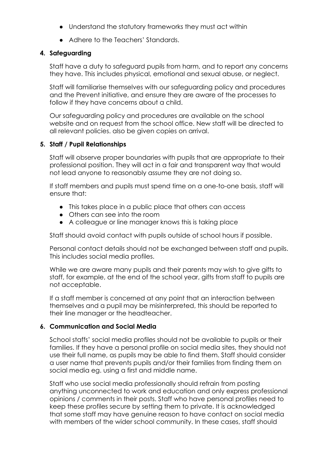- Understand the statutory frameworks they must act within
- Adhere to the Teachers' Standards.

# **4. Safeguarding**

Staff have a duty to safeguard pupils from harm, and to report any concerns they have. This includes physical, emotional and sexual abuse, or neglect.

Staff will familiarise themselves with our safeguarding policy and procedures and the Prevent initiative, and ensure they are aware of the processes to follow if they have concerns about a child.

Our safeguarding policy and procedures are available on the school website and on request from the school office. New staff will be directed to all relevant policies. also be given copies on arrival.

# **5. Staff / Pupil Relationships**

Staff will observe proper boundaries with pupils that are appropriate to their professional position. They will act in a fair and transparent way that would not lead anyone to reasonably assume they are not doing so.

If staff members and pupils must spend time on a one-to-one basis, staff will ensure that:

- This takes place in a public place that others can access
- Others can see into the room
- A colleague or line manager knows this is taking place

Staff should avoid contact with pupils outside of school hours if possible.

Personal contact details should not be exchanged between staff and pupils. This includes social media profiles.

While we are aware many pupils and their parents may wish to give gifts to staff, for example, at the end of the school year, gifts from staff to pupils are not acceptable.

If a staff member is concerned at any point that an interaction between themselves and a pupil may be misinterpreted, this should be reported to their line manager or the headteacher.

# **6. Communication and Social Media**

School staffs' social media profiles should not be available to pupils or their families. If they have a personal profile on social media sites, they should not use their full name, as pupils may be able to find them. Staff should consider a user name that prevents pupils and/or their families from finding them on social media eg. using a first and middle name.

Staff who use social media professionally should refrain from posting anything unconnected to work and education and only express professional opinions / comments in their posts. Staff who have personal profiles need to keep these profiles secure by setting them to private. It is acknowledged that some staff may have genuine reason to have contact on social media with members of the wider school community. In these cases, staff should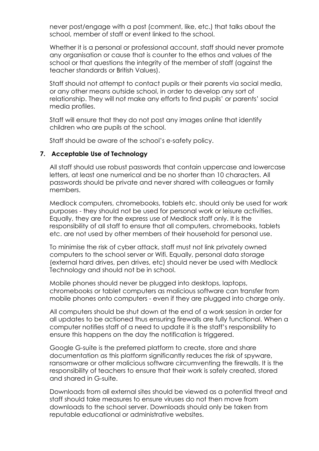never post/engage with a post (comment, like, etc.) that talks about the school, member of staff or event linked to the school.

Whether it is a personal or professional account, staff should never promote any organisation or cause that is counter to the ethos and values of the school or that questions the integrity of the member of staff (against the teacher standards or British Values).

Staff should not attempt to contact pupils or their parents via social media, or any other means outside school, in order to develop any sort of relationship. They will not make any efforts to find pupils' or parents' social media profiles.

Staff will ensure that they do not post any images online that identify children who are pupils at the school.

Staff should be aware of the school's e-safety policy.

#### **7. Acceptable Use of Technology**

All staff should use robust passwords that contain uppercase and lowercase letters, at least one numerical and be no shorter than 10 characters. All passwords should be private and never shared with colleagues or family members.

Medlock computers, chromebooks, tablets etc. should only be used for work purposes - they should not be used for personal work or leisure activities. Equally, they are for the express use of Medlock staff only. It is the responsibility of all staff to ensure that all computers, chromebooks, tablets etc. are not used by other members of their household for personal use.

To minimise the risk of cyber attack, staff must not link privately owned computers to the school server or Wifi. Equally, personal data storage (external hard drives, pen drives, etc) should never be used with Medlock Technology and should not be in school.

Mobile phones should never be plugged into desktops, laptops, chromebooks or tablet computers as malicious software can transfer from mobile phones onto computers - even if they are plugged into charge only.

All computers should be shut down at the end of a work session in order for all updates to be actioned thus ensuring firewalls are fully functional. When a computer notifies staff of a need to update it is the staff's responsibility to ensure this happens on the day the notification is triggered.

Google G-suite is the preferred platform to create, store and share documentation as this platform significantly reduces the risk of spyware, ransomware or other malicious software circumventing the firewalls. It is the responsibility of teachers to ensure that their work is safely created, stored and shared in G-suite.

Downloads from all external sites should be viewed as a potential threat and staff should take measures to ensure viruses do not then move from downloads to the school server. Downloads should only be taken from reputable educational or administrative websites.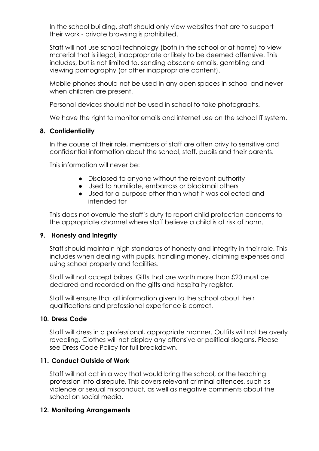In the school building, staff should only view websites that are to support their work - private browsing is prohibited.

Staff will not use school technology (both in the school or at home) to view material that is illegal, inappropriate or likely to be deemed offensive. This includes, but is not limited to, sending obscene emails, gambling and viewing pornography (or other inappropriate content).

Mobile phones should not be used in any open spaces in school and never when children are present.

Personal devices should not be used in school to take photographs.

We have the right to monitor emails and internet use on the school IT system.

# **8. Confidentiality**

In the course of their role, members of staff are often privy to sensitive and confidential information about the school, staff, pupils and their parents.

This information will never be:

- Disclosed to anyone without the relevant authority
- Used to humiliate, embarrass or blackmail others
- Used for a purpose other than what it was collected and intended for

This does not overrule the staff's duty to report child protection concerns to the appropriate channel where staff believe a child is at risk of harm.

# **9. Honesty and integrity**

Staff should maintain high standards of honesty and integrity in their role. This includes when dealing with pupils, handling money, claiming expenses and using school property and facilities.

Staff will not accept bribes. Gifts that are worth more than £20 must be declared and recorded on the gifts and hospitality register.

Staff will ensure that all information given to the school about their qualifications and professional experience is correct.

# **10. Dress Code**

Staff will dress in a professional, appropriate manner. Outfits will not be overly revealing. Clothes will not display any offensive or political slogans. Please see Dress Code Policy for full breakdown.

# **11. Conduct Outside of Work**

Staff will not act in a way that would bring the school, or the teaching profession into disrepute. This covers relevant criminal offences, such as violence or sexual misconduct, as well as negative comments about the school on social media.

# **12. Monitoring Arrangements**